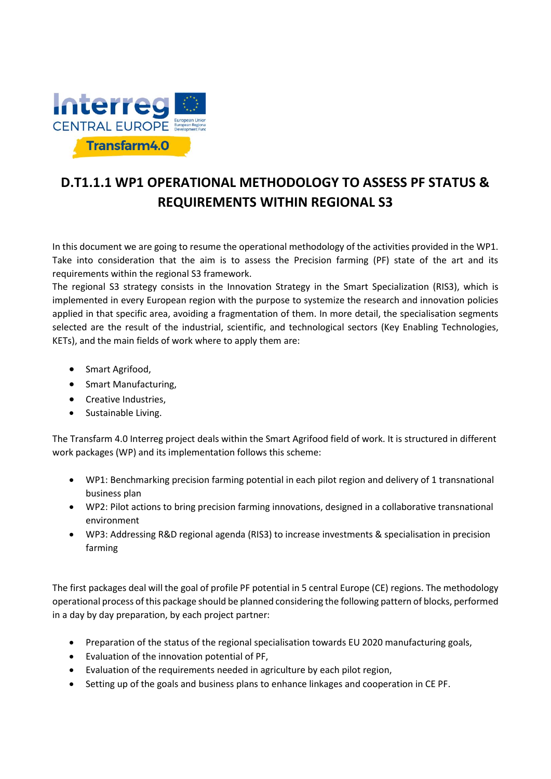

# **D.T1.1.1 WP1 OPERATIONAL METHODOLOGY TO ASSESS PF STATUS & REQUIREMENTS WITHIN REGIONAL S3**

In this document we are going to resume the operational methodology of the activities provided in the WP1. Take into consideration that the aim is to assess the Precision farming (PF) state of the art and its requirements within the regional S3 framework.

The regional S3 strategy consists in the Innovation Strategy in the Smart Specialization (RIS3), which is implemented in every European region with the purpose to systemize the research and innovation policies applied in that specific area, avoiding a fragmentation of them. In more detail, the specialisation segments selected are the result of the industrial, scientific, and technological sectors (Key Enabling Technologies, KETs), and the main fields of work where to apply them are:

- Smart Agrifood,
- Smart Manufacturing,
- Creative Industries,
- Sustainable Living.

The Transfarm 4.0 Interreg project deals within the Smart Agrifood field of work. It is structured in different work packages (WP) and its implementation follows this scheme:

- WP1: Benchmarking precision farming potential in each pilot region and delivery of 1 transnational business plan
- WP2: Pilot actions to bring precision farming innovations, designed in a collaborative transnational environment
- WP3: Addressing R&D regional agenda (RIS3) to increase investments & specialisation in precision farming

The first packages deal will the goal of profile PF potential in 5 central Europe (CE) regions. The methodology operational process of this package should be planned considering the following pattern of blocks, performed in a day by day preparation, by each project partner:

- Preparation of the status of the regional specialisation towards EU 2020 manufacturing goals,
- Evaluation of the innovation potential of PF,
- Evaluation of the requirements needed in agriculture by each pilot region,
- Setting up of the goals and business plans to enhance linkages and cooperation in CE PF.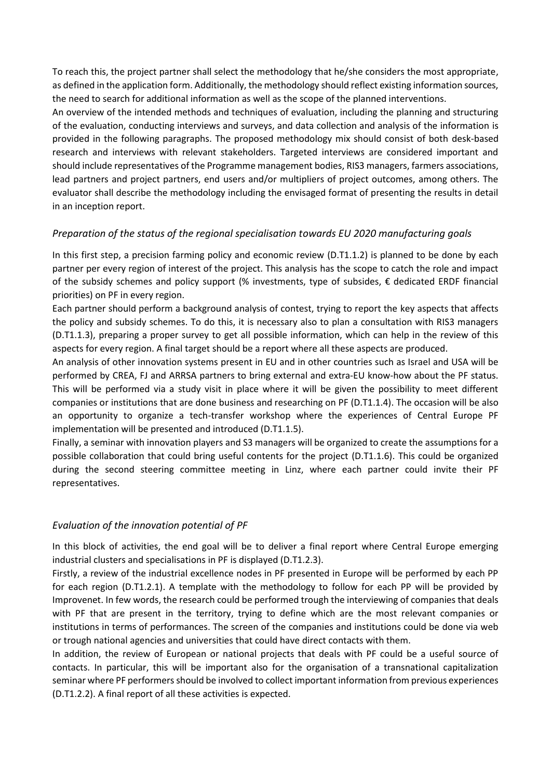To reach this, the project partner shall select the methodology that he/she considers the most appropriate, as defined in the application form. Additionally, the methodology should reflect existing information sources, the need to search for additional information as well as the scope of the planned interventions.

An overview of the intended methods and techniques of evaluation, including the planning and structuring of the evaluation, conducting interviews and surveys, and data collection and analysis of the information is provided in the following paragraphs. The proposed methodology mix should consist of both desk-based research and interviews with relevant stakeholders. Targeted interviews are considered important and should include representatives of the Programme management bodies, RIS3 managers, farmers associations, lead partners and project partners, end users and/or multipliers of project outcomes, among others. The evaluator shall describe the methodology including the envisaged format of presenting the results in detail in an inception report.

## *Preparation of the status of the regional specialisation towards EU 2020 manufacturing goals*

In this first step, a precision farming policy and economic review (D.T1.1.2) is planned to be done by each partner per every region of interest of the project. This analysis has the scope to catch the role and impact of the subsidy schemes and policy support (% investments, type of subsides, € dedicated ERDF financial priorities) on PF in every region.

Each partner should perform a background analysis of contest, trying to report the key aspects that affects the policy and subsidy schemes. To do this, it is necessary also to plan a consultation with RIS3 managers (D.T1.1.3), preparing a proper survey to get all possible information, which can help in the review of this aspects for every region. A final target should be a report where all these aspects are produced.

An analysis of other innovation systems present in EU and in other countries such as Israel and USA will be performed by CREA, FJ and ARRSA partners to bring external and extra-EU know-how about the PF status. This will be performed via a study visit in place where it will be given the possibility to meet different companies or institutions that are done business and researching on PF (D.T1.1.4). The occasion will be also an opportunity to organize a tech-transfer workshop where the experiences of Central Europe PF implementation will be presented and introduced (D.T1.1.5).

Finally, a seminar with innovation players and S3 managers will be organized to create the assumptions for a possible collaboration that could bring useful contents for the project (D.T1.1.6). This could be organized during the second steering committee meeting in Linz, where each partner could invite their PF representatives.

## *Evaluation of the innovation potential of PF*

In this block of activities, the end goal will be to deliver a final report where Central Europe emerging industrial clusters and specialisations in PF is displayed (D.T1.2.3).

Firstly, a review of the industrial excellence nodes in PF presented in Europe will be performed by each PP for each region (D.T1.2.1). A template with the methodology to follow for each PP will be provided by Improvenet. In few words, the research could be performed trough the interviewing of companies that deals with PF that are present in the territory, trying to define which are the most relevant companies or institutions in terms of performances. The screen of the companies and institutions could be done via web or trough national agencies and universities that could have direct contacts with them.

In addition, the review of European or national projects that deals with PF could be a useful source of contacts. In particular, this will be important also for the organisation of a transnational capitalization seminar where PF performers should be involved to collect important information from previous experiences (D.T1.2.2). A final report of all these activities is expected.